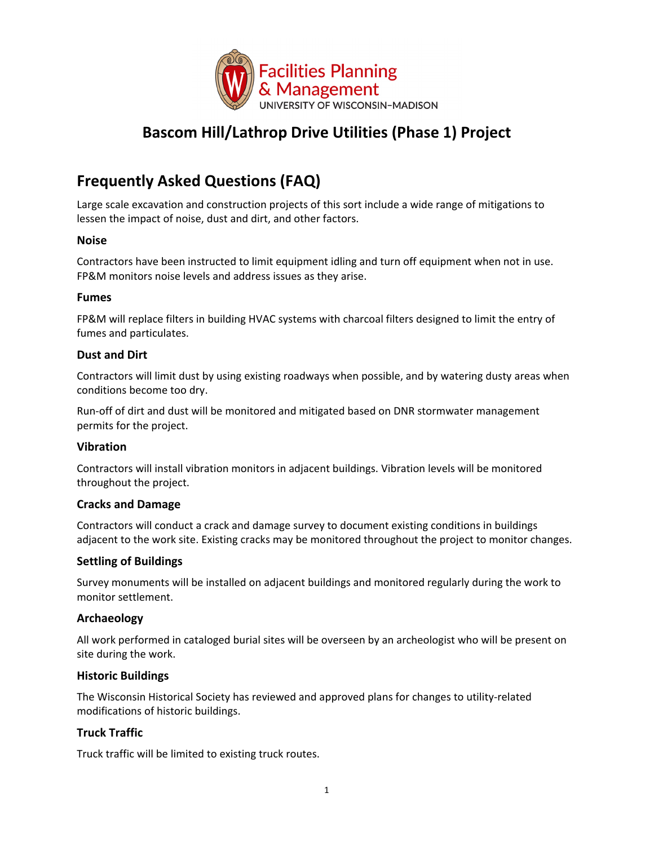

## **Bascom Hill/Lathrop Drive Utilities (Phase 1) Project**

# **Frequently Asked Questions (FAQ)**

Large scale excavation and construction projects of this sort include a wide range of mitigations to lessen the impact of noise, dust and dirt, and other factors.

#### **Noise**

Contractors have been instructed to limit equipment idling and turn off equipment when not in use. FP&M monitors noise levels and address issues as they arise.

#### **Fumes**

FP&M will replace filters in building HVAC systems with charcoal filters designed to limit the entry of fumes and particulates.

#### **Dust and Dirt**

Contractors will limit dust by using existing roadways when possible, and by watering dusty areas when conditions become too dry.

Run‐off of dirt and dust will be monitored and mitigated based on DNR stormwater management permits for the project.

## **Vibration**

Contractors will install vibration monitors in adjacent buildings. Vibration levels will be monitored throughout the project.

#### **Cracks and Damage**

Contractors will conduct a crack and damage survey to document existing conditions in buildings adjacent to the work site. Existing cracks may be monitored throughout the project to monitor changes.

## **Settling of Buildings**

Survey monuments will be installed on adjacent buildings and monitored regularly during the work to monitor settlement.

#### **Archaeology**

All work performed in cataloged burial sites will be overseen by an archeologist who will be present on site during the work.

## **Historic Buildings**

The Wisconsin Historical Society has reviewed and approved plans for changes to utility‐related modifications of historic buildings.

## **Truck Traffic**

Truck traffic will be limited to existing truck routes.